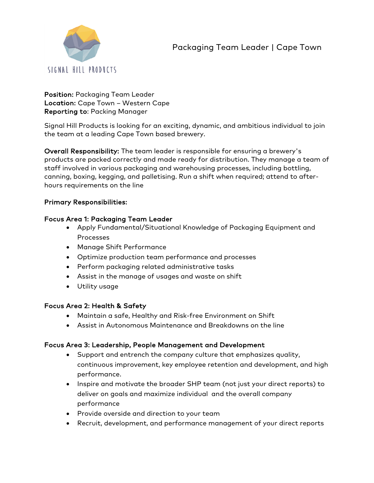# Packaging Team Leader | Cape Town



Position: Packaging Team Leader Location: Cape Town – Western Cape Reporting to: Packing Manager

Signal Hill Products is looking for an exciting, dynamic, and ambitious individual to join the team at a leading Cape Town based brewery.

Overall Responsibility: The team leader is responsible for ensuring a brewery's products are packed correctly and made ready for distribution. They manage a team of staff involved in various packaging and warehousing processes, including bottling, canning, boxing, kegging, and palletising. Run a shift when required; attend to afterhours requirements on the line

# Primary Responsibilities:

# Focus Area 1: Packaging Team Leader

- Apply Fundamental/Situational Knowledge of Packaging Equipment and Processes
- Manage Shift Performance
- Optimize production team performance and processes
- Perform packaging related administrative tasks
- Assist in the manage of usages and waste on shift
- Utility usage

#### Focus Area 2: Health & Safety

- Maintain a safe, Healthy and Risk-free Environment on Shift
- Assist in Autonomous Maintenance and Breakdowns on the line

# Focus Area 3: Leadership, People Management and Development

- Support and entrench the company culture that emphasizes quality, continuous improvement, key employee retention and development, and high performance.
- Inspire and motivate the broader SHP team (not just your direct reports) to deliver on goals and maximize individual and the overall company performance
- Provide overside and direction to your team
- Recruit, development, and performance management of your direct reports